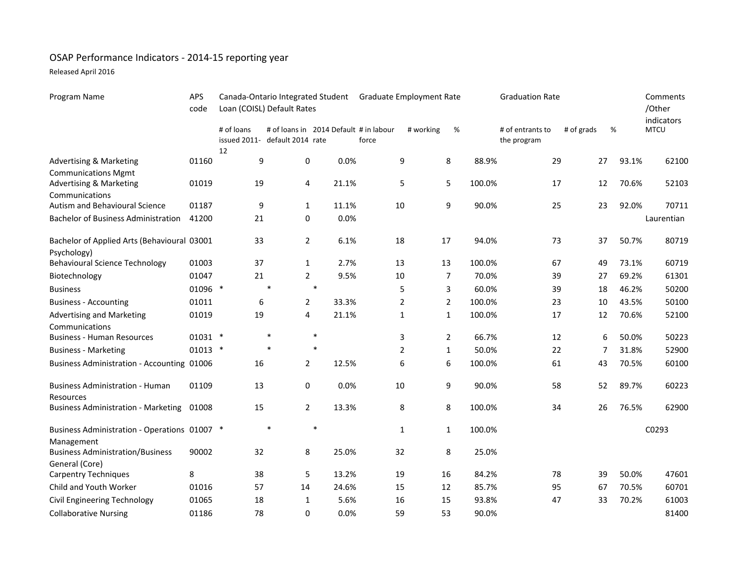## OSAP Performance Indicators - 2014-15 reporting year

Released April 2016

| Program Name                                                                       | APS<br>code | Canada-Ontario Integrated Student Graduate Employment Rate<br>Loan (COISL) Default Rates |                                                                          |        |       |                |           |                | <b>Graduation Rate</b> |                                 |            |       | Comments<br>/Other        |
|------------------------------------------------------------------------------------|-------------|------------------------------------------------------------------------------------------|--------------------------------------------------------------------------|--------|-------|----------------|-----------|----------------|------------------------|---------------------------------|------------|-------|---------------------------|
|                                                                                    |             | # of loans<br>12                                                                         | # of loans in 2014 Default # in labour<br>issued 2011- default 2014 rate |        | force |                | # working | %              |                        | # of entrants to<br>the program | # of grads | %     | indicators<br><b>MTCU</b> |
| <b>Advertising &amp; Marketing</b>                                                 | 01160       | 9                                                                                        | 0                                                                        |        | 0.0%  | 9              |           | 8              | 88.9%                  | 29                              | 27         | 93.1% | 62100                     |
| <b>Communications Mgmt</b><br><b>Advertising &amp; Marketing</b><br>Communications | 01019       | 19                                                                                       | 4                                                                        | 21.1%  |       | 5              |           | 5              | 100.0%                 | 17                              | 12         | 70.6% | 52103                     |
| Autism and Behavioural Science                                                     | 01187       | 9                                                                                        | $\mathbf{1}$                                                             | 11.1%  |       | 10             |           | 9              | 90.0%                  | 25                              | 23         | 92.0% | 70711                     |
| <b>Bachelor of Business Administration</b>                                         | 41200       | 21                                                                                       | 0                                                                        |        | 0.0%  |                |           |                |                        |                                 |            |       | Laurentian                |
| Bachelor of Applied Arts (Behavioural 03001<br>Psychology)                         |             | 33                                                                                       | $\overline{a}$                                                           |        | 6.1%  | 18             |           | 17             | 94.0%                  | 73                              | 37         | 50.7% | 80719                     |
| <b>Behavioural Science Technology</b>                                              | 01003       | 37                                                                                       | $\mathbf{1}$                                                             |        | 2.7%  | 13             |           | 13             | 100.0%                 | 67                              | 49         | 73.1% | 60719                     |
| Biotechnology                                                                      | 01047       | 21                                                                                       | $\overline{2}$                                                           |        | 9.5%  | 10             |           | 7              | 70.0%                  | 39                              | 27         | 69.2% | 61301                     |
| <b>Business</b>                                                                    | 01096 *     |                                                                                          | $\ast$                                                                   | $\ast$ |       | 5              |           | 3              | 60.0%                  | 39                              | 18         | 46.2% | 50200                     |
| <b>Business - Accounting</b>                                                       | 01011       | 6                                                                                        | 2                                                                        | 33.3%  |       | $\overline{2}$ |           | 2              | 100.0%                 | 23                              | 10         | 43.5% | 50100                     |
| <b>Advertising and Marketing</b><br>Communications                                 | 01019       | 19                                                                                       | 4                                                                        | 21.1%  |       | $\mathbf{1}$   |           | $\mathbf{1}$   | 100.0%                 | 17                              | 12         | 70.6% | 52100                     |
| <b>Business - Human Resources</b>                                                  | $01031$ *   |                                                                                          | $\ast$                                                                   | $\ast$ |       | 3              |           | $\overline{2}$ | 66.7%                  | 12                              | 6          | 50.0% | 50223                     |
| <b>Business - Marketing</b>                                                        | $01013$ *   |                                                                                          | $\ast$                                                                   | $\ast$ |       | $\overline{2}$ |           | $\mathbf{1}$   | 50.0%                  | 22                              | 7          | 31.8% | 52900                     |
| Business Administration - Accounting 01006                                         |             | 16                                                                                       | $\overline{2}$                                                           | 12.5%  |       | 6              |           | 6              | 100.0%                 | 61                              | 43         | 70.5% | 60100                     |
| <b>Business Administration - Human</b><br>Resources                                | 01109       | 13                                                                                       | 0                                                                        |        | 0.0%  | 10             |           | 9              | 90.0%                  | 58                              | 52         | 89.7% | 60223                     |
| <b>Business Administration - Marketing</b>                                         | 01008       | 15                                                                                       | $\overline{2}$                                                           | 13.3%  |       | 8              |           | 8              | 100.0%                 | 34                              | 26         | 76.5% | 62900                     |
| Business Administration - Operations 01007 *<br>Management                         |             |                                                                                          | $\ast$                                                                   | $\ast$ |       | $\mathbf{1}$   |           | $\mathbf{1}$   | 100.0%                 |                                 |            |       | C0293                     |
| <b>Business Administration/Business</b><br>General (Core)                          | 90002       | 32                                                                                       | 8                                                                        | 25.0%  |       | 32             |           | 8              | 25.0%                  |                                 |            |       |                           |
| <b>Carpentry Techniques</b>                                                        | 8           | 38                                                                                       | 5                                                                        | 13.2%  |       | 19             |           | 16             | 84.2%                  | 78                              | 39         | 50.0% | 47601                     |
| Child and Youth Worker                                                             | 01016       | 57                                                                                       | 14                                                                       | 24.6%  |       | 15             |           | 12             | 85.7%                  | 95                              | 67         | 70.5% | 60701                     |
| Civil Engineering Technology                                                       | 01065       | 18                                                                                       | 1                                                                        |        | 5.6%  | 16             |           | 15             | 93.8%                  | 47                              | 33         | 70.2% | 61003                     |
| <b>Collaborative Nursing</b>                                                       | 01186       | 78                                                                                       | $\Omega$                                                                 |        | 0.0%  | 59             |           | 53             | 90.0%                  |                                 |            |       | 81400                     |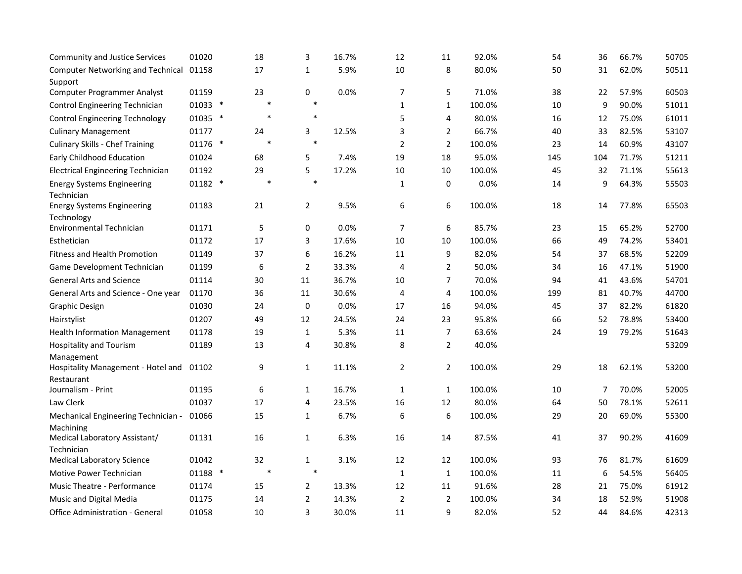| <b>Community and Justice Services</b>      | 01020           | 18     | 3              | 16.7% | 12             | 11             | 92.0%  | 54  | 36             | 66.7% | 50705 |
|--------------------------------------------|-----------------|--------|----------------|-------|----------------|----------------|--------|-----|----------------|-------|-------|
| Computer Networking and Technical 01158    |                 | 17     | 1              | 5.9%  | 10             | 8              | 80.0%  | 50  | 31             | 62.0% | 50511 |
| Support                                    |                 |        |                |       |                |                |        |     |                |       |       |
| Computer Programmer Analyst                | 01159           | 23     | $\pmb{0}$      | 0.0%  | $\overline{7}$ | 5              | 71.0%  | 38  | 22             | 57.9% | 60503 |
| <b>Control Engineering Technician</b>      | 01033 *         |        | $\ast$         |       | $\mathbf{1}$   | $\mathbf{1}$   | 100.0% | 10  | 9              | 90.0% | 51011 |
| <b>Control Engineering Technology</b>      | 01035 *         | $\ast$ | $\ast$         |       | 5              | 4              | 80.0%  | 16  | 12             | 75.0% | 61011 |
| <b>Culinary Management</b>                 | 01177           | 24     | 3              | 12.5% | 3              | $\overline{2}$ | 66.7%  | 40  | 33             | 82.5% | 53107 |
| <b>Culinary Skills - Chef Training</b>     | 01176<br>$\ast$ | $\ast$ | $\ast$         |       | $\overline{2}$ | $\overline{2}$ | 100.0% | 23  | 14             | 60.9% | 43107 |
| <b>Early Childhood Education</b>           | 01024           | 68     | 5              | 7.4%  | 19             | 18             | 95.0%  | 145 | 104            | 71.7% | 51211 |
| <b>Electrical Engineering Technician</b>   | 01192           | 29     | 5              | 17.2% | 10             | 10             | 100.0% | 45  | 32             | 71.1% | 55613 |
| <b>Energy Systems Engineering</b>          | 01182 *         | $\ast$ | $\ast$         |       | $\mathbf{1}$   | 0              | 0.0%   | 14  | 9              | 64.3% | 55503 |
| Technician                                 |                 |        |                |       |                |                |        |     |                |       |       |
| <b>Energy Systems Engineering</b>          | 01183           | 21     | 2              | 9.5%  | 6              | 6              | 100.0% | 18  | 14             | 77.8% | 65503 |
| Technology                                 |                 |        |                |       |                |                |        |     |                |       |       |
| Environmental Technician                   | 01171           | 5      | $\pmb{0}$      | 0.0%  | $\overline{7}$ | 6              | 85.7%  | 23  | 15             | 65.2% | 52700 |
| Esthetician                                | 01172           | 17     | 3              | 17.6% | 10             | $10\,$         | 100.0% | 66  | 49             | 74.2% | 53401 |
| <b>Fitness and Health Promotion</b>        | 01149           | 37     | 6              | 16.2% | 11             | 9              | 82.0%  | 54  | 37             | 68.5% | 52209 |
| Game Development Technician                | 01199           | 6      | $\overline{2}$ | 33.3% | 4              | 2              | 50.0%  | 34  | 16             | 47.1% | 51900 |
| <b>General Arts and Science</b>            | 01114           | 30     | $11\,$         | 36.7% | 10             | 7              | 70.0%  | 94  | 41             | 43.6% | 54701 |
| General Arts and Science - One year        | 01170           | 36     | 11             | 30.6% | 4              | 4              | 100.0% | 199 | 81             | 40.7% | 44700 |
| <b>Graphic Design</b>                      | 01030           | 24     | $\pmb{0}$      | 0.0%  | 17             | 16             | 94.0%  | 45  | 37             | 82.2% | 61820 |
| Hairstylist                                | 01207           | 49     | 12             | 24.5% | 24             | 23             | 95.8%  | 66  | 52             | 78.8% | 53400 |
| <b>Health Information Management</b>       | 01178           | 19     | $\mathbf 1$    | 5.3%  | 11             | $\overline{7}$ | 63.6%  | 24  | 19             | 79.2% | 51643 |
| <b>Hospitality and Tourism</b>             | 01189           | 13     | 4              | 30.8% | 8              | $\overline{2}$ | 40.0%  |     |                |       | 53209 |
| Management                                 |                 |        |                |       |                |                |        |     |                |       |       |
| Hospitality Management - Hotel and         | 01102           | 9      | $\mathbf{1}$   | 11.1% | $\overline{2}$ | $\overline{2}$ | 100.0% | 29  | 18             | 62.1% | 53200 |
| Restaurant                                 |                 |        |                | 16.7% |                |                |        |     | $\overline{7}$ | 70.0% | 52005 |
| Journalism - Print                         | 01195           | 6      | $\mathbf{1}$   |       | $\mathbf{1}$   | $\mathbf{1}$   | 100.0% | 10  |                |       |       |
| Law Clerk                                  | 01037           | 17     | 4              | 23.5% | 16             | 12             | 80.0%  | 64  | 50             | 78.1% | 52611 |
| Mechanical Engineering Technician -        | 01066           | 15     | $\mathbf{1}$   | 6.7%  | 6              | 6              | 100.0% | 29  | 20             | 69.0% | 55300 |
| Machining<br>Medical Laboratory Assistant/ | 01131           | 16     | $1\,$          | 6.3%  | 16             | 14             | 87.5%  | 41  | 37             | 90.2% | 41609 |
| Technician                                 |                 |        |                |       |                |                |        |     |                |       |       |
| <b>Medical Laboratory Science</b>          | 01042           | 32     | $1\,$          | 3.1%  | 12             | 12             | 100.0% | 93  | 76             | 81.7% | 61609 |
| <b>Motive Power Technician</b>             | 01188 *         | $\ast$ | $\ast$         |       | $\mathbf{1}$   | $\mathbf{1}$   | 100.0% | 11  | 6              | 54.5% | 56405 |
| Music Theatre - Performance                | 01174           | 15     | $\overline{2}$ | 13.3% | 12             | 11             | 91.6%  | 28  | 21             | 75.0% | 61912 |
| Music and Digital Media                    | 01175           | 14     | $\overline{2}$ | 14.3% | $\overline{2}$ | $\overline{2}$ | 100.0% | 34  | 18             | 52.9% | 51908 |
| Office Administration - General            | 01058           | 10     | 3              | 30.0% | 11             | 9              | 82.0%  | 52  | 44             | 84.6% | 42313 |